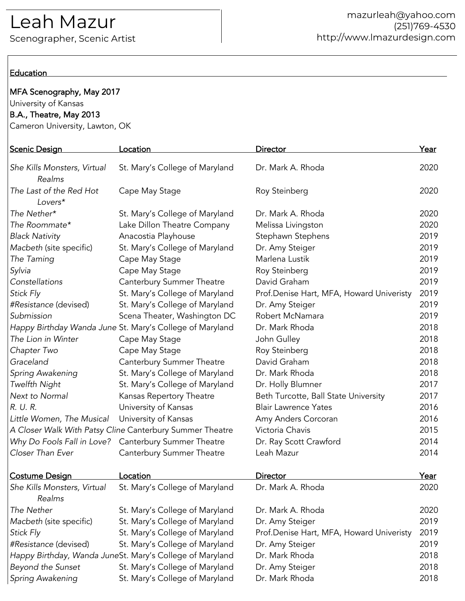# Leah Mazur

Scenographer, Scenic Artist

### **Education**

# MFA Scenography, May 2017

## University of Kansas B.A., Theatre, May 2013

Cameron University, Lawton, OK

| <b>Scenic Design</b>                                     | <u>Location</u>                                          | <b>Director</b>                          | <u>Year</u> |
|----------------------------------------------------------|----------------------------------------------------------|------------------------------------------|-------------|
| She Kills Monsters, Virtual<br>Realms                    | St. Mary's College of Maryland                           | Dr. Mark A. Rhoda                        | 2020        |
| The Last of the Red Hot<br>Lovers*                       | Cape May Stage                                           | Roy Steinberg                            | 2020        |
| The Nether*                                              | St. Mary's College of Maryland                           | Dr. Mark A. Rhoda                        | 2020        |
| The Roommate*                                            | Lake Dillon Theatre Company                              | Melissa Livingston                       | 2020        |
| <b>Black Nativity</b>                                    | Anacostia Playhouse                                      | Stephawn Stephens                        | 2019        |
| Macbeth (site specific)                                  | St. Mary's College of Maryland                           | Dr. Amy Steiger                          | 2019        |
| The Taming                                               | Cape May Stage                                           | Marlena Lustik                           | 2019        |
| Sylvia                                                   | Cape May Stage                                           | Roy Steinberg                            | 2019        |
| Constellations                                           | Canterbury Summer Theatre                                | David Graham                             | 2019        |
| Stick Fly                                                | St. Mary's College of Maryland                           | Prof.Denise Hart, MFA, Howard Univeristy | 2019        |
| #Resistance (devised)                                    | St. Mary's College of Maryland                           | Dr. Amy Steiger                          | 2019        |
| Submission                                               | Scena Theater, Washington DC                             | Robert McNamara                          | 2019        |
|                                                          | Happy Birthday Wanda June St. Mary's College of Maryland | Dr. Mark Rhoda                           | 2018        |
| The Lion in Winter                                       | Cape May Stage                                           | John Gulley                              | 2018        |
| Chapter Two                                              | Cape May Stage                                           | Roy Steinberg                            | 2018        |
| Graceland                                                | Canterbury Summer Theatre                                | David Graham                             | 2018        |
| Spring Awakening                                         | St. Mary's College of Maryland                           | Dr. Mark Rhoda                           | 2018        |
| Twelfth Night                                            | St. Mary's College of Maryland                           | Dr. Holly Blumner                        | 2017        |
| Next to Normal                                           | Kansas Repertory Theatre                                 | Beth Turcotte, Ball State University     | 2017        |
| R. U. R.                                                 | University of Kansas                                     | <b>Blair Lawrence Yates</b>              | 2016        |
| Little Women, The Musical                                | University of Kansas                                     | Amy Anders Corcoran                      | 2016        |
| A Closer Walk With Patsy Cline Canterbury Summer Theatre |                                                          | Victoria Chavis                          | 2015        |
| Why Do Fools Fall in Love?                               | Canterbury Summer Theatre                                | Dr. Ray Scott Crawford                   | 2014        |
| Closer Than Ever                                         | Canterbury Summer Theatre                                | Leah Mazur                               | 2014        |
| <b>Costume Design</b>                                    | <u>Location</u>                                          | <b>Director</b>                          | <u>Year</u> |
| She Kills Monsters, Virtual<br>Realms                    | St. Mary's College of Maryland                           | Dr. Mark A. Rhoda                        | 2020        |
| The Nether                                               | St. Mary's College of Maryland                           | Dr. Mark A. Rhoda                        | 2020        |
| Macbeth (site specific)                                  | St. Mary's College of Maryland                           | Dr. Amy Steiger                          | 2019        |
| Stick Fly                                                | St. Mary's College of Maryland                           | Prof.Denise Hart, MFA, Howard Univeristy | 2019        |
| #Resistance (devised)                                    | St. Mary's College of Maryland                           | Dr. Amy Steiger                          | 2019        |
| Happy Birthday, Wanda JuneSt. Mary's College of Maryland |                                                          | Dr. Mark Rhoda                           | 2018        |
| Beyond the Sunset                                        | St. Mary's College of Maryland                           | Dr. Amy Steiger                          | 2018        |
| Spring Awakening                                         | St. Mary's College of Maryland                           | Dr. Mark Rhoda                           | 2018        |